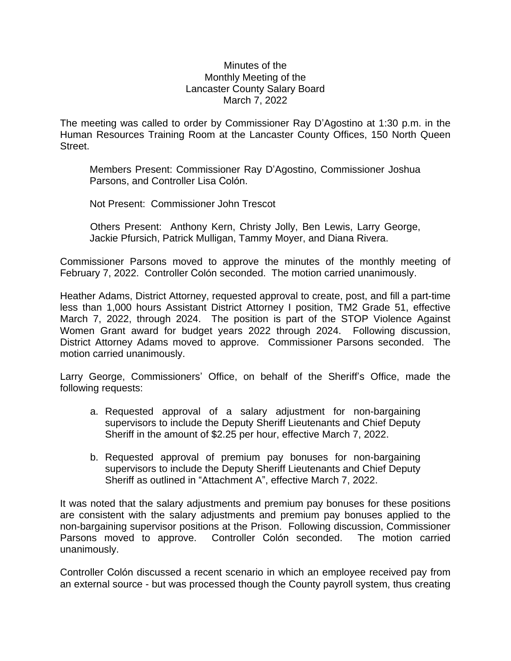## Minutes of the Monthly Meeting of the Lancaster County Salary Board March 7, 2022

The meeting was called to order by Commissioner Ray D'Agostino at 1:30 p.m. in the Human Resources Training Room at the Lancaster County Offices, 150 North Queen Street.

Members Present: Commissioner Ray D'Agostino, Commissioner Joshua Parsons, and Controller Lisa Colón.

Not Present: Commissioner John Trescot

Others Present: Anthony Kern, Christy Jolly, Ben Lewis, Larry George, Jackie Pfursich, Patrick Mulligan, Tammy Moyer, and Diana Rivera.

Commissioner Parsons moved to approve the minutes of the monthly meeting of February 7, 2022. Controller Colón seconded. The motion carried unanimously.

Heather Adams, District Attorney, requested approval to create, post, and fill a part-time less than 1,000 hours Assistant District Attorney I position, TM2 Grade 51, effective March 7, 2022, through 2024. The position is part of the STOP Violence Against Women Grant award for budget years 2022 through 2024. Following discussion, District Attorney Adams moved to approve. Commissioner Parsons seconded. The motion carried unanimously.

Larry George, Commissioners' Office, on behalf of the Sheriff's Office, made the following requests:

- a. Requested approval of a salary adjustment for non-bargaining supervisors to include the Deputy Sheriff Lieutenants and Chief Deputy Sheriff in the amount of \$2.25 per hour, effective March 7, 2022.
- b. Requested approval of premium pay bonuses for non-bargaining supervisors to include the Deputy Sheriff Lieutenants and Chief Deputy Sheriff as outlined in "Attachment A", effective March 7, 2022.

It was noted that the salary adjustments and premium pay bonuses for these positions are consistent with the salary adjustments and premium pay bonuses applied to the non-bargaining supervisor positions at the Prison. Following discussion, Commissioner Parsons moved to approve. Controller Colón seconded. The motion carried unanimously.

Controller Colón discussed a recent scenario in which an employee received pay from an external source - but was processed though the County payroll system, thus creating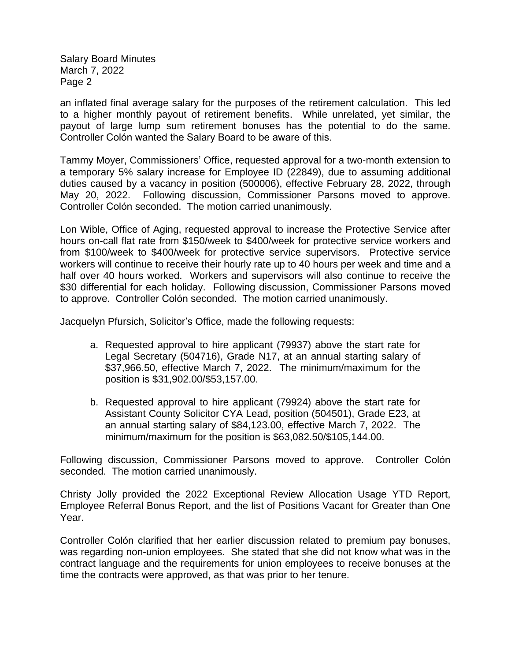Salary Board Minutes March 7, 2022 Page 2

an inflated final average salary for the purposes of the retirement calculation. This led to a higher monthly payout of retirement benefits. While unrelated, yet similar, the payout of large lump sum retirement bonuses has the potential to do the same. Controller Colón wanted the Salary Board to be aware of this.

Tammy Moyer, Commissioners' Office, requested approval for a two-month extension to a temporary 5% salary increase for Employee ID (22849), due to assuming additional duties caused by a vacancy in position (500006), effective February 28, 2022, through May 20, 2022. Following discussion, Commissioner Parsons moved to approve. Controller Colón seconded. The motion carried unanimously.

Lon Wible, Office of Aging, requested approval to increase the Protective Service after hours on-call flat rate from \$150/week to \$400/week for protective service workers and from \$100/week to \$400/week for protective service supervisors. Protective service workers will continue to receive their hourly rate up to 40 hours per week and time and a half over 40 hours worked. Workers and supervisors will also continue to receive the \$30 differential for each holiday. Following discussion, Commissioner Parsons moved to approve. Controller Colón seconded. The motion carried unanimously.

Jacquelyn Pfursich, Solicitor's Office, made the following requests:

- a. Requested approval to hire applicant (79937) above the start rate for Legal Secretary (504716), Grade N17, at an annual starting salary of \$37,966.50, effective March 7, 2022. The minimum/maximum for the position is \$31,902.00/\$53,157.00.
- b. Requested approval to hire applicant (79924) above the start rate for Assistant County Solicitor CYA Lead, position (504501), Grade E23, at an annual starting salary of \$84,123.00, effective March 7, 2022. The minimum/maximum for the position is \$63,082.50/\$105,144.00.

Following discussion, Commissioner Parsons moved to approve. Controller Colón seconded. The motion carried unanimously.

Christy Jolly provided the 2022 Exceptional Review Allocation Usage YTD Report, Employee Referral Bonus Report, and the list of Positions Vacant for Greater than One Year.

Controller Colón clarified that her earlier discussion related to premium pay bonuses, was regarding non-union employees. She stated that she did not know what was in the contract language and the requirements for union employees to receive bonuses at the time the contracts were approved, as that was prior to her tenure.